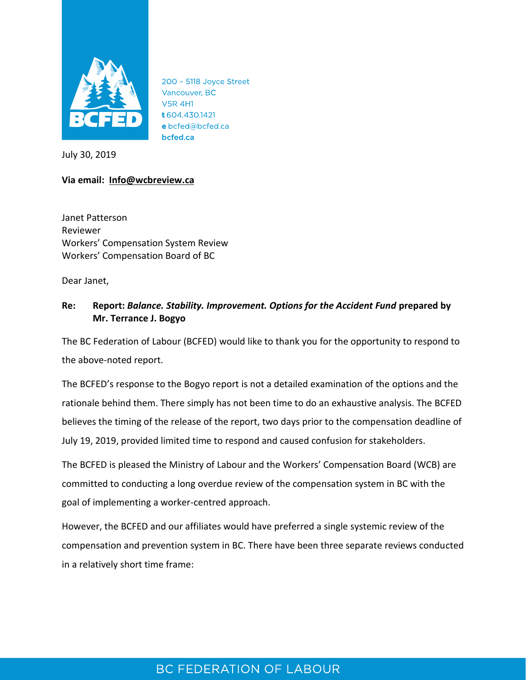

200 - 5118 Joyce Street Vancouver, BC **V5R 4H1** t 604.430.1421 e bcfed@bcfed.ca bcfed.ca

July 30, 2019

### **Via email: [Info@wcbreview.ca](mailto:Info@wcbreview.ca)**

Janet Patterson Reviewer Workers' Compensation System Review Workers' Compensation Board of BC

Dear Janet,

### **Re: Report:** *Balance. Stability. Improvement. Options for the Accident Fund* **prepared by Mr. Terrance J. Bogyo**

The BC Federation of Labour (BCFED) would like to thank you for the opportunity to respond to the above-noted report.

The BCFED's response to the Bogyo report is not a detailed examination of the options and the rationale behind them. There simply has not been time to do an exhaustive analysis. The BCFED believes the timing of the release of the report, two days prior to the compensation deadline of July 19, 2019, provided limited time to respond and caused confusion for stakeholders.

The BCFED is pleased the Ministry of Labour and the Workers' Compensation Board (WCB) are committed to conducting a long overdue review of the compensation system in BC with the goal of implementing a worker-centred approach.

However, the BCFED and our affiliates would have preferred a single systemic review of the compensation and prevention system in BC. There have been three separate reviews conducted in a relatively short time frame:

## BC FEDERATION OF LABOUR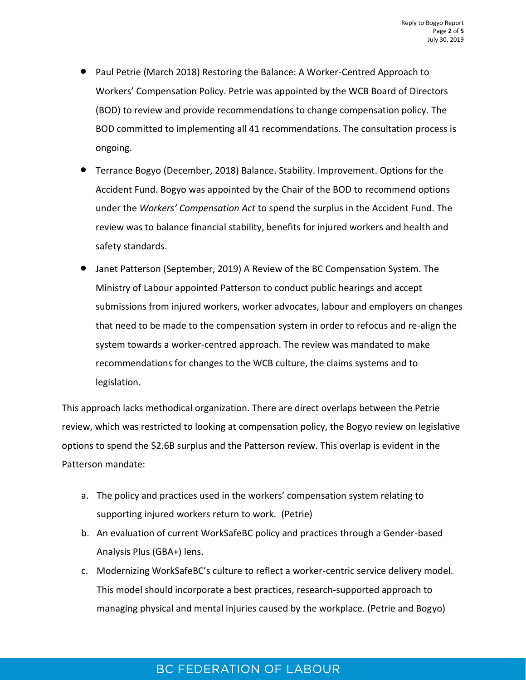- Paul Petrie (March 2018) Restoring the Balance: A Worker-Centred Approach to Workers' Compensation Policy. Petrie was appointed by the WCB Board of Directors (BOD) to review and provide recommendations to change compensation policy. The BOD committed to implementing all 41 recommendations. The consultation process is ongoing.
- Terrance Bogyo (December, 2018) Balance. Stability. Improvement. Options for the Accident Fund. Bogyo was appointed by the Chair of the BOD to recommend options under the *Workers' Compensation Act* to spend the surplus in the Accident Fund. The review was to balance financial stability, benefits for injured workers and health and safety standards.
- Janet Patterson (September, 2019) A Review of the BC Compensation System. The Ministry of Labour appointed Patterson to conduct public hearings and accept submissions from injured workers, worker advocates, labour and employers on changes that need to be made to the compensation system in order to refocus and re-align the system towards a worker-centred approach. The review was mandated to make recommendations for changes to the WCB culture, the claims systems and to legislation.

This approach lacks methodical organization. There are direct overlaps between the Petrie review, which was restricted to looking at compensation policy, the Bogyo review on legislative options to spend the \$2.6B surplus and the Patterson review. This overlap is evident in the Patterson mandate:

- a. The policy and practices used in the workers' compensation system relating to supporting injured workers return to work. (Petrie)
- b. An evaluation of current WorkSafeBC policy and practices through a Gender-based Analysis Plus (GBA+) lens.
- c. Modernizing WorkSafeBC's culture to reflect a worker-centric service delivery model. This model should incorporate a best practices, research-supported approach to managing physical and mental injuries caused by the workplace. (Petrie and Bogyo)

# **BC FEDERATION OF LABOUR**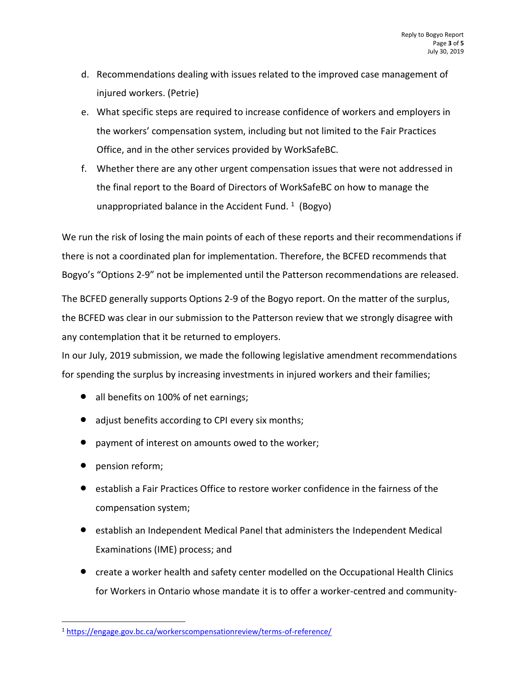- d. Recommendations dealing with issues related to the improved case management of injured workers. (Petrie)
- e. What specific steps are required to increase confidence of workers and employers in the workers' compensation system, including but not limited to the Fair Practices Office, and in the other services provided by WorkSafeBC.
- f. Whether there are any other urgent compensation issues that were not addressed in the final report to the Board of Directors of WorkSafeBC on how to manage the unappropriated balance in the Accident Fund.  $1$  (Bogyo)

We run the risk of losing the main points of each of these reports and their recommendations if there is not a coordinated plan for implementation. Therefore, the BCFED recommends that Bogyo's "Options 2-9" not be implemented until the Patterson recommendations are released.

The BCFED generally supports Options 2-9 of the Bogyo report. On the matter of the surplus, the BCFED was clear in our submission to the Patterson review that we strongly disagree with any contemplation that it be returned to employers.

In our July, 2019 submission, we made the following legislative amendment recommendations for spending the surplus by increasing investments in injured workers and their families;

- all benefits on 100% of net earnings;
- adjust benefits according to CPI every six months;
- payment of interest on amounts owed to the worker;
- pension reform;

 $\overline{a}$ 

- establish a Fair Practices Office to restore worker confidence in the fairness of the compensation system;
- establish an Independent Medical Panel that administers the Independent Medical Examinations (IME) process; and
- create a worker health and safety center modelled on the Occupational Health Clinics for Workers in Ontario whose mandate it is to offer a worker-centred and community-

<sup>1</sup> <https://engage.gov.bc.ca/workerscompensationreview/terms-of-reference/>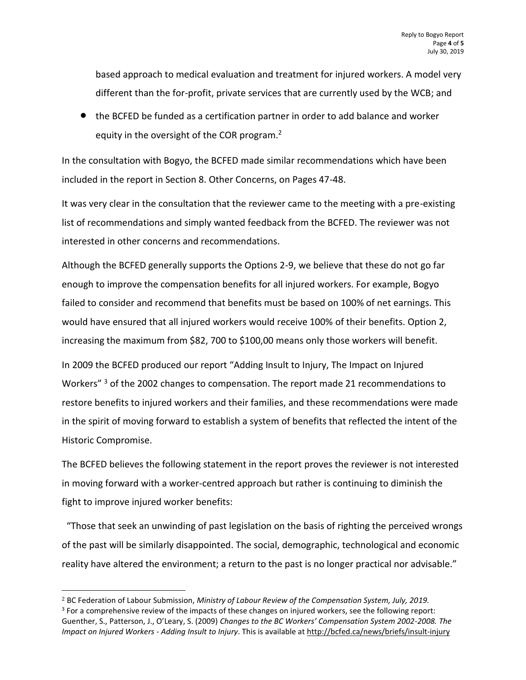based approach to medical evaluation and treatment for injured workers. A model very different than the for-profit, private services that are currently used by the WCB; and

• the BCFED be funded as a certification partner in order to add balance and worker equity in the oversight of the COR program.<sup>2</sup>

In the consultation with Bogyo, the BCFED made similar recommendations which have been included in the report in Section 8. Other Concerns, on Pages 47-48.

It was very clear in the consultation that the reviewer came to the meeting with a pre-existing list of recommendations and simply wanted feedback from the BCFED. The reviewer was not interested in other concerns and recommendations.

Although the BCFED generally supports the Options 2-9, we believe that these do not go far enough to improve the compensation benefits for all injured workers. For example, Bogyo failed to consider and recommend that benefits must be based on 100% of net earnings. This would have ensured that all injured workers would receive 100% of their benefits. Option 2, increasing the maximum from \$82, 700 to \$100,00 means only those workers will benefit.

In 2009 the BCFED produced our report "Adding Insult to Injury, The Impact on Injured Workers"<sup>3</sup> of the 2002 changes to compensation. The report made 21 recommendations to restore benefits to injured workers and their families, and these recommendations were made in the spirit of moving forward to establish a system of benefits that reflected the intent of the Historic Compromise.

The BCFED believes the following statement in the report proves the reviewer is not interested in moving forward with a worker-centred approach but rather is continuing to diminish the fight to improve injured worker benefits:

 "Those that seek an unwinding of past legislation on the basis of righting the perceived wrongs of the past will be similarly disappointed. The social, demographic, technological and economic reality have altered the environment; a return to the past is no longer practical nor advisable."

 $\overline{a}$ 

<sup>2</sup> BC Federation of Labour Submission, *Ministry of Labour Review of the Compensation System, July, 2019.* <sup>3</sup> For a comprehensive review of the impacts of these changes on injured workers, see the following report: Guenther, S., Patterson, J., O'Leary, S. (2009) *Changes to the BC Workers' Compensation System 2002-2008. The Impact on Injured Workers - Adding Insult to Injury*. This is available a[t http://bcfed.ca/news/briefs/insult-injury](http://bcfed.ca/news/briefs/insult-injury)